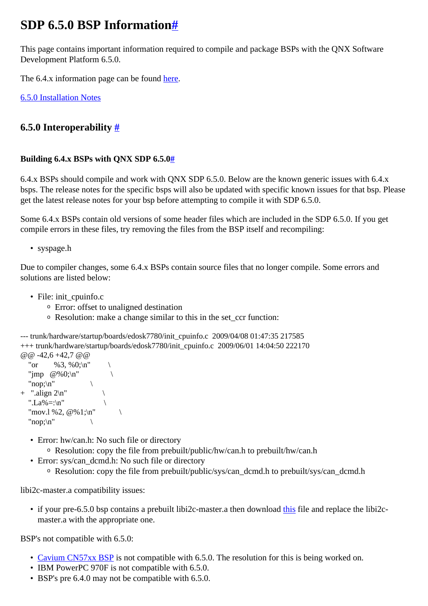# <span id="page-0-0"></span>**SDP 6.5.0 BSP Information[#](#page-0-0)**

This page contains important information required to compile and package BSPs with the QNX Software Development Platform 6.5.0.

The 6.4.x information page can be found [here.](http://community.qnx.com/sf/wiki/do/viewPage/projects.bsp/wiki/SDP_6.4.0_BSP_Info)

[6.5.0 Installation Notes](http://community.qnx.com/sf/wiki/do/viewPage/projects.bsp/wiki/Bsp_650InstallationNotes)

## <span id="page-0-1"></span>**6.5.0 Interoperability [#](#page-0-1)**

#### <span id="page-0-2"></span>**Building 6.4.x BSPs with QNX SDP 6.5.[0#](#page-0-2)**

6.4.x BSPs should compile and work with QNX SDP 6.5.0. Below are the known generic issues with 6.4.x bsps. The release notes for the specific bsps will also be updated with specific known issues for that bsp. Please get the latest release notes for your bsp before attempting to compile it with SDP 6.5.0.

Some 6.4.x BSPs contain old versions of some header files which are included in the SDP 6.5.0. If you get compile errors in these files, try removing the files from the BSP itself and recompiling:

• syspage.h

Due to compiler changes, some 6.4.x BSPs contain source files that no longer compile. Some errors and solutions are listed below:

- File: init\_cpuinfo.c
	- <sup>o</sup> Error: offset to unaligned destination
	- <sup>o</sup> Resolution: make a change similar to this in the set\_ccr function:

```
--- trunk/hardware/startup/boards/edosk7780/init_cpuinfo.c 2009/04/08 01:47:35 217585
+++ trunk/hardware/startup/boards/edosk7780/init_cpuinfo.c 2009/06/01 14:04:50 222170
@ @ -42.6 +42.7 @ @"or \%3, \%0;\n"
```

```
"jmp @%0;\n"
  "non:\n+ ".align 2\pi"
 ".La%=:\n"
 "mov.1 %2, @\%1;\n"
 "nop:\n\mid n"
```
- Error: hw/can.h: No such file or directory
	- <sup>o</sup> Resolution: copy the file from prebuilt/public/hw/can.h to prebuilt/hw/can.h
- Error: sys/can\_dcmd.h: No such file or directory
	- <sup>o</sup> Resolution: copy the file from prebuilt/public/sys/can\_dcmd.h to prebuilt/sys/can\_dcmd.h

libi2c-master.a compatibility issues:

• if your pre-6.5.0 bsp contains a prebuilt libi2c-master. a then download [this](http://community.qnx.com/sf/wiki/do/viewAttachment/projects.bsp/wiki/SDP_6.5.0_BSP_Info/libi2c.zip) file and replace the libi2cmaster.a with the appropriate one.

BSP's not compatible with 6.5.0:

- [Cavium CN57xx BSP](http://community.qnx.com/sf/wiki/do/viewPage/projects.bsp/wiki/CaviumCn57xxEvm) is not compatible with 6.5.0. The resolution for this is being worked on.
- IBM PowerPC 970F is not compatible with 6.5.0.
- BSP's pre 6.4.0 may not be compatible with 6.5.0.